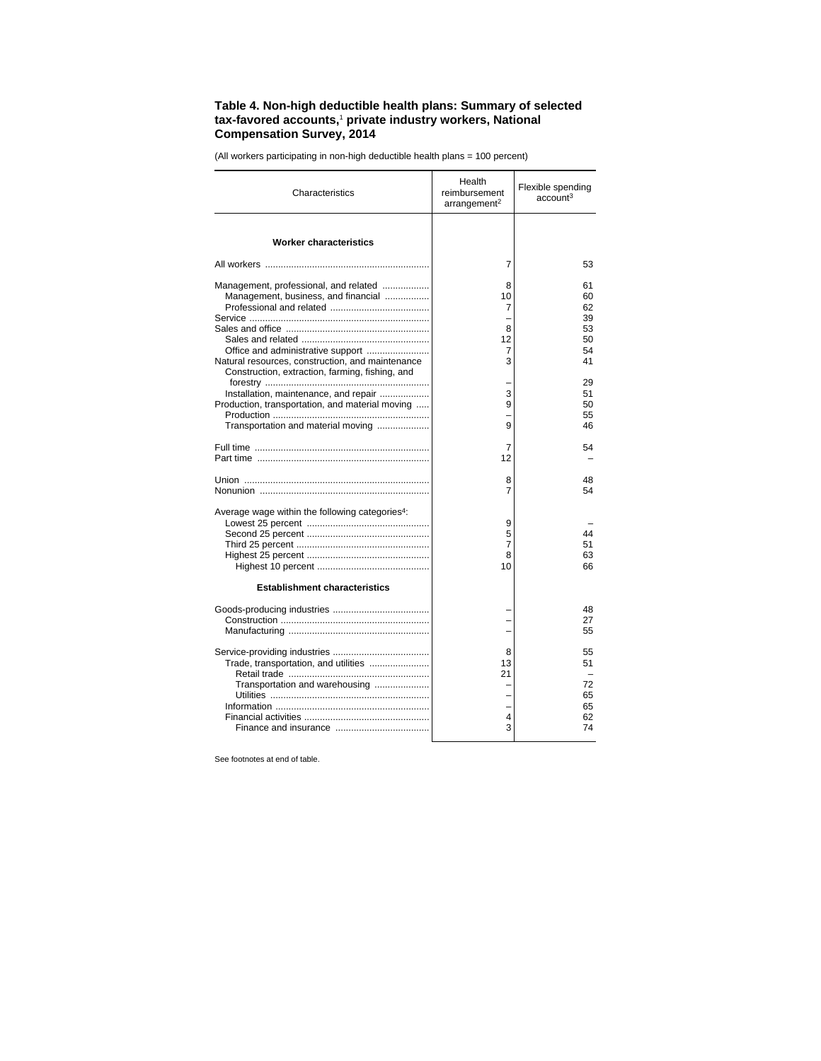## **Table 4. Non-high deductible health plans: Summary of selected tax-favored accounts,**<sup>1</sup>  **private industry workers, National Compensation Survey, 2014**

**Characteristics** Health reimbursement  $arrangement<sup>2</sup>$ Flexible spending account3 **Worker characteristics** All workers ............................................................... 7 53 Management, professional, and related .................. 8 61 Management, business, and financial ................. 10 60 Professional and related ...................................... 7 62 Service ..................................................................... – 39 Sales and office ....................................................... 8 53 Sales and related ................................................. 12 50 Office and administrative support ........................ 7 54 Natural resources, construction, and maintenance Construction, extraction, farming, fishing, and forestry ............................................................... – 29 Installation, maintenance, and repair ................... 3 51 Production, transportation, and material moving ..... 9 50 Production ............................................................ – 55 Transportation and material moving .................. Full time ................................................................... 7 54 Part time .................................................................. 12 – Union ....................................................................... 8 48 Nonunion ................................................................. 7 54 Average wage within the following categories4: Lowest 25 percent ............................................... 9 – Second 25 percent ............................................... 5 44 Third 25 percent ................................................... 7 51 Highest 25 percent ............................................... 8 63 Highest 10 percent ........................................... 10 66 **Establishment characteristics** Goods-producing industries ..................................... – 48 Construction ......................................................... – 27 Manufacturing ...................................................... – 55 Service-providing industries ..................................... 8 55 Trade, transportation, and utilities ....................... 13 51 Retail trade ...................................................... 21 – Transportation and warehousing ................... Utilities ............................................................. – 65 Information ........................................................... – 65 Financial activities ................................................ 4 62 Finance and insurance .................................... 3 74

(All workers participating in non-high deductible health plans = 100 percent)

See footnotes at end of table.